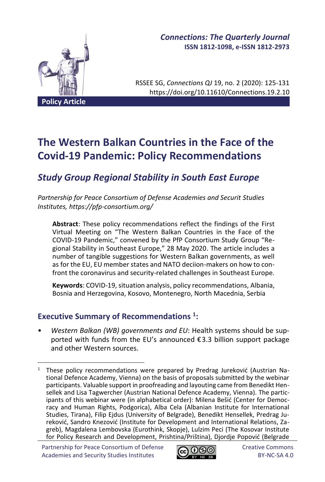

# *Connections: The Quarterly Journal* **ISSN 1812-1098, e-ISSN 1812-2973**

RSSEE SG, *Connections QJ* 19, no. 2 (2020): 125-131 https://doi.org/10.11610/Connections.19.2.10

# **The Western Balkan Countries in the Face of the Covid-19 Pandemic: Policy Recommendations**

# *Study Group Regional Stability in South East Europe*

*Partnership for Peace Consortium of Defense Academies and Securit Studies Institutes, https://pfp-consortium.org/*

**Abstract**: These policy recommendations reflect the findings of the First Virtual Meeting on "The Western Balkan Countries in the Face of the COVID-19 Pandemic," convened by the PfP Consortium Study Group "Regional Stability in Southeast Europe," 28 May 2020. The article includes a number of tangible suggestions for Western Balkan governments, as well as for the EU, EU member states and NATO deciion-makers on how to confront the coronavirus and security-related challenges in Southeast Europe.

**Keywords**: COVID-19, situation analysis, policy recommendations, Albania, Bosnia and Herzegovina, Kosovo, Montenegro, North Macednia, Serbia

# **Executive Summary of Recommendations <sup>1</sup> :**

• *Western Balkan (WB) governments and EU*: Health systems should be supported with funds from the EU's announced €3.3 billion support package and other Western sources.



<sup>&</sup>lt;sup>1</sup> These policy recommendations were prepared by Predrag Jureković (Austrian National Defence Academy, Vienna) on the basis of proposals submitted by the webinar participants. Valuable support in proofreading and layouting came from Benedikt Hensellek and Lisa Tagwercher (Austrian National Defence Academy, Vienna). The participants of this webinar were (in alphabetical order): Milena Bešić (Center for Democracy and Human Rights, Podgorica), Alba Cela (Albanian Institute for International Studies, Tirana), Filip Ejdus (University of Belgrade), Benedikt Hensellek, Predrag Jureković, Sandro Knezović (Institute for Development and International Relations, Zagreb), Magdalena Lembovska (Eurothink, Skopje), Lulzim Peci (The Kosovar Institute for Policy Research and Development, Prishtina/Priština), Djordje Popović (Belgrade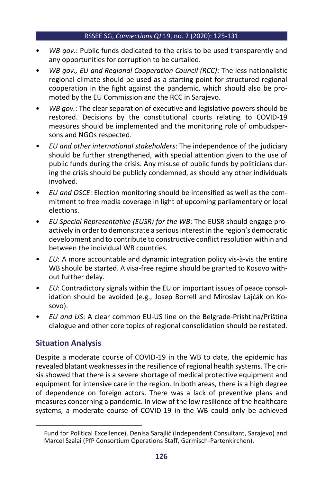#### RSSEE SG, *Connections QJ* 19, no. 2 (2020): 125-131

- *WB gov.*: Public funds dedicated to the crisis to be used transparently and any opportunities for corruption to be curtailed.
- *WB gov., EU and Regional Cooperation Council (RCC)*: The less nationalistic regional climate should be used as a starting point for structured regional cooperation in the fight against the pandemic, which should also be promoted by the EU Commission and the RCC in Sarajevo.
- *WB gov.*: The clear separation of executive and legislative powers should be restored. Decisions by the constitutional courts relating to COVID-19 measures should be implemented and the monitoring role of ombudspersons and NGOs respected.
- *EU and other international stakeholders*: The independence of the judiciary should be further strengthened, with special attention given to the use of public funds during the crisis. Any misuse of public funds by politicians during the crisis should be publicly condemned, as should any other individuals involved.
- *EU and OSCE*: Election monitoring should be intensified as well as the commitment to free media coverage in light of upcoming parliamentary or local elections.
- *EU Special Representative (EUSR) for the WB*: The EUSR should engage proactively in order to demonstrate a serious interest in the region's democratic development and to contribute to constructive conflict resolution within and between the individual WB countries.
- *EU*: A more accountable and dynamic integration policy vis-à-vis the entire WB should be started. A visa-free regime should be granted to Kosovo without further delay.
- *EU*: Contradictory signals within the EU on important issues of peace consolidation should be avoided (e.g., Josep Borrell and Miroslav Lajčák on Kosovo).
- *EU and US*: A clear common EU-US line on the Belgrade-Prishtina/Priština dialogue and other core topics of regional consolidation should be restated.

# **Situation Analysis**

Despite a moderate course of COVID-19 in the WB to date, the epidemic has revealed blatant weaknesses in the resilience of regional health systems. The crisis showed that there is a severe shortage of medical protective equipment and equipment for intensive care in the region. In both areas, there is a high degree of dependence on foreign actors. There was a lack of preventive plans and measures concerning a pandemic. In view of the low resilience of the healthcare systems, a moderate course of COVID-19 in the WB could only be achieved

Fund for Political Excellence), Denisa Sarajlić (Independent Consultant, Sarajevo) and Marcel Szalai (PfP Consortium Operations Staff, Garmisch-Partenkirchen).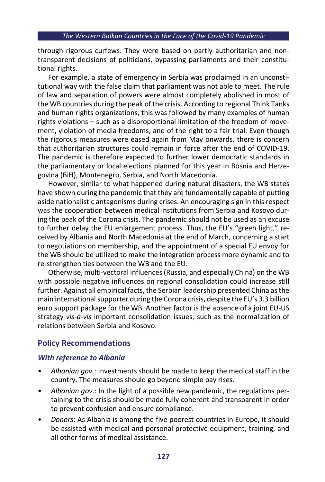through rigorous curfews. They were based on partly authoritarian and nontransparent decisions of politicians, bypassing parliaments and their constitutional rights.

For example, a state of emergency in Serbia was proclaimed in an unconstitutional way with the false claim that parliament was not able to meet. The rule of law and separation of powers were almost completely abolished in most of the WB countries during the peak of the crisis. According to regional Think Tanks and human rights organizations, this was followed by many examples of human rights violations – such as a disproportional limitation of the freedom of movement, violation of media freedoms, and of the right to a fair trial. Even though the rigorous measures were eased again from May onwards, there is concern that authoritarian structures could remain in force after the end of COVID-19. The pandemic is therefore expected to further lower democratic standards in the parliamentary or local elections planned for this year in Bosnia and Herzegovina (BiH), Montenegro, Serbia, and North Macedonia.

However, similar to what happened during natural disasters, the WB states have shown during the pandemic that they are fundamentally capable of putting aside nationalistic antagonisms during crises. An encouraging sign in this respect was the cooperation between medical institutions from Serbia and Kosovo during the peak of the Corona crisis. The pandemic should not be used as an excuse to further delay the EU enlargement process. Thus, the EU's "green light," received by Albania and North Macedonia at the end of March, concerning a start to negotiations on membership, and the appointment of a special EU envoy for the WB should be utilized to make the integration process more dynamic and to re-strengthen ties between the WB and the EU.

Otherwise, multi-vectoral influences (Russia, and especially China) on the WB with possible negative influences on regional consolidation could increase still further. Against all empirical facts, the Serbian leadership presented China as the main international supporter during the Corona crisis, despite the EU's 3.3 billion euro support package for the WB. Another factor is the absence of a joint EU-US strategy *vis-à-vis* important consolidation issues, such as the normalization of relations between Serbia and Kosovo.

## **Policy Recommendations**

#### *With reference to Albania*

- *Albanian gov.*: Investments should be made to keep the medical staff in the country. The measures should go beyond simple pay rises.
- *Albanian gov*.: In the light of a possible new pandemic, the regulations pertaining to the crisis should be made fully coherent and transparent in order to prevent confusion and ensure compliance.
- *Donors*: As Albania is among the five poorest countries in Europe, it should be assisted with medical and personal protective equipment, training, and all other forms of medical assistance.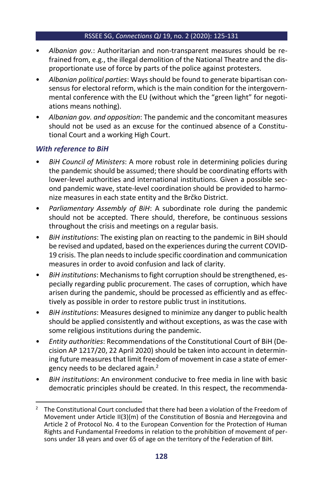#### RSSEE SG, *Connections QJ* 19, no. 2 (2020): 125-131

- *Albanian gov.*: Authoritarian and non-transparent measures should be refrained from, e.g., the illegal demolition of the National Theatre and the disproportionate use of force by parts of the police against protesters.
- *Albanian political parties*: Ways should be found to generate bipartisan consensus for electoral reform, which is the main condition for the intergovernmental conference with the EU (without which the "green light" for negotiations means nothing).
- *Albanian gov. and opposition*: The pandemic and the concomitant measures should not be used as an excuse for the continued absence of a Constitutional Court and a working High Court.

## *With reference to BiH*

- *BiH Council of Ministers*: A more robust role in determining policies during the pandemic should be assumed; there should be coordinating efforts with lower-level authorities and international institutions. Given a possible second pandemic wave, state-level coordination should be provided to harmonize measures in each state entity and the Brčko District.
- *Parliamentary Assembly of BiH*: A subordinate role during the pandemic should not be accepted. There should, therefore, be continuous sessions throughout the crisis and meetings on a regular basis.
- *BiH institutions*: The existing plan on reacting to the pandemic in BiH should be revised and updated, based on the experiences during the current COVID-19 crisis. The plan needs to include specific coordination and communication measures in order to avoid confusion and lack of clarity.
- *BiH institutions*: Mechanisms to fight corruption should be strengthened, especially regarding public procurement. The cases of corruption, which have arisen during the pandemic, should be processed as efficiently and as effectively as possible in order to restore public trust in institutions.
- *BiH institutions*: Measures designed to minimize any danger to public health should be applied consistently and without exceptions, as was the case with some religious institutions during the pandemic.
- *Entity authorities*: Recommendations of the Constitutional Court of BiH (Decision AP 1217/20, 22 April 2020) should be taken into account in determining future measures that limit freedom of movement in case a state of emergency needs to be declared again.<sup>2</sup>
- *BiH institutions*: An environment conducive to free media in line with basic democratic principles should be created. In this respect, the recommenda-

<sup>&</sup>lt;sup>2</sup> The Constitutional Court concluded that there had been a violation of the Freedom of Movement under Article II(3)(m) of the Constitution of Bosnia and Herzegovina and Article 2 of Protocol No. 4 to the European Convention for the Protection of Human Rights and Fundamental Freedoms in relation to the prohibition of movement of persons under 18 years and over 65 of age on the territory of the Federation of BiH.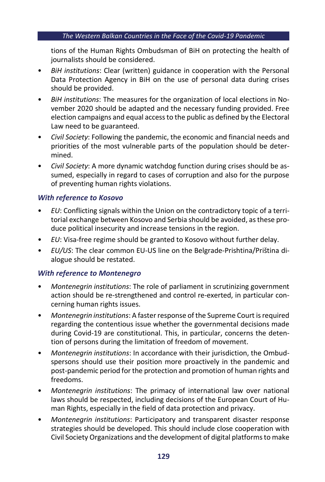#### *The Western Balkan Countries in the Face of the Covid-19 Pandemic*

tions of the Human Rights Ombudsman of BiH on protecting the health of journalists should be considered.

- *BiH institutions*: Clear (written) guidance in cooperation with the Personal Data Protection Agency in BiH on the use of personal data during crises should be provided.
- *BiH institutions*: The measures for the organization of local elections in November 2020 should be adapted and the necessary funding provided. Free election campaigns and equal access to the public as defined by the Electoral Law need to be guaranteed.
- *Civil Society*: Following the pandemic, the economic and financial needs and priorities of the most vulnerable parts of the population should be determined.
- *Civil Society*: A more dynamic watchdog function during crises should be assumed, especially in regard to cases of corruption and also for the purpose of preventing human rights violations.

## *With reference to Kosovo*

- *EU*: Conflicting signals within the Union on the contradictory topic of a territorial exchange between Kosovo and Serbia should be avoided, as these produce political insecurity and increase tensions in the region.
- *EU*: Visa-free regime should be granted to Kosovo without further delay.
- *EU/US*: The clear common EU-US line on the Belgrade-Prishtina/Priština dialogue should be restated.

## *With reference to Montenegro*

- *Montenegrin institutions*: The role of parliament in scrutinizing government action should be re-strengthened and control re-exerted, in particular concerning human rights issues.
- *Montenegrin institutions*: A faster response of the Supreme Court is required regarding the contentious issue whether the governmental decisions made during Covid-19 are constitutional. This, in particular, concerns the detention of persons during the limitation of freedom of movement.
- *Montenegrin institutions*: In accordance with their jurisdiction, the Ombudspersons should use their position more proactively in the pandemic and post-pandemic period for the protection and promotion of human rights and freedoms.
- *Montenegrin institutions*: The primacy of international law over national laws should be respected, including decisions of the European Court of Human Rights, especially in the field of data protection and privacy.
- *Montenegrin institutions*: Participatory and transparent disaster response strategies should be developed. This should include close cooperation with Civil Society Organizations and the development of digital platforms to make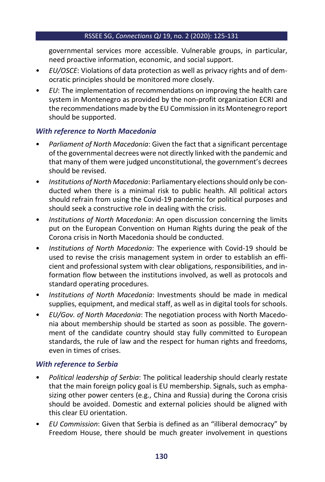#### RSSEE SG, *Connections QJ* 19, no. 2 (2020): 125-131

governmental services more accessible. Vulnerable groups, in particular, need proactive information, economic, and social support.

- *EU/OSCE*: Violations of data protection as well as privacy rights and of democratic principles should be monitored more closely.
- *EU*: The implementation of recommendations on improving the health care system in Montenegro as provided by the non-profit organization ECRI and the recommendations made by the EU Commission in its Montenegro report should be supported.

## *With reference to North Macedonia*

- *Parliament of North Macedonia*: Given the fact that a significant percentage of the governmental decrees were not directly linked with the pandemic and that many of them were judged unconstitutional, the government's decrees should be revised.
- *Institutions of North Macedonia*: Parliamentary elections should only be conducted when there is a minimal risk to public health. All political actors should refrain from using the Covid-19 pandemic for political purposes and should seek a constructive role in dealing with the crisis.
- *Institutions of North Macedonia*: An open discussion concerning the limits put on the European Convention on Human Rights during the peak of the Corona crisis in North Macedonia should be conducted.
- *Institutions of North Macedonia*: The experience with Covid-19 should be used to revise the crisis management system in order to establish an efficient and professional system with clear obligations, responsibilities, and information flow between the institutions involved, as well as protocols and standard operating procedures.
- *Institutions of North Macedonia*: Investments should be made in medical supplies, equipment, and medical staff, as well as in digital tools for schools.
- *EU/Gov. of North Macedonia*: The negotiation process with North Macedonia about membership should be started as soon as possible. The government of the candidate country should stay fully committed to European standards, the rule of law and the respect for human rights and freedoms, even in times of crises.

## *With reference to Serbia*

- *Political leadership of Serbia*: The political leadership should clearly restate that the main foreign policy goal is EU membership. Signals, such as emphasizing other power centers (e.g., China and Russia) during the Corona crisis should be avoided. Domestic and external policies should be aligned with this clear EU orientation.
- *EU Commission*: Given that Serbia is defined as an "illiberal democracy" by Freedom House, there should be much greater involvement in questions